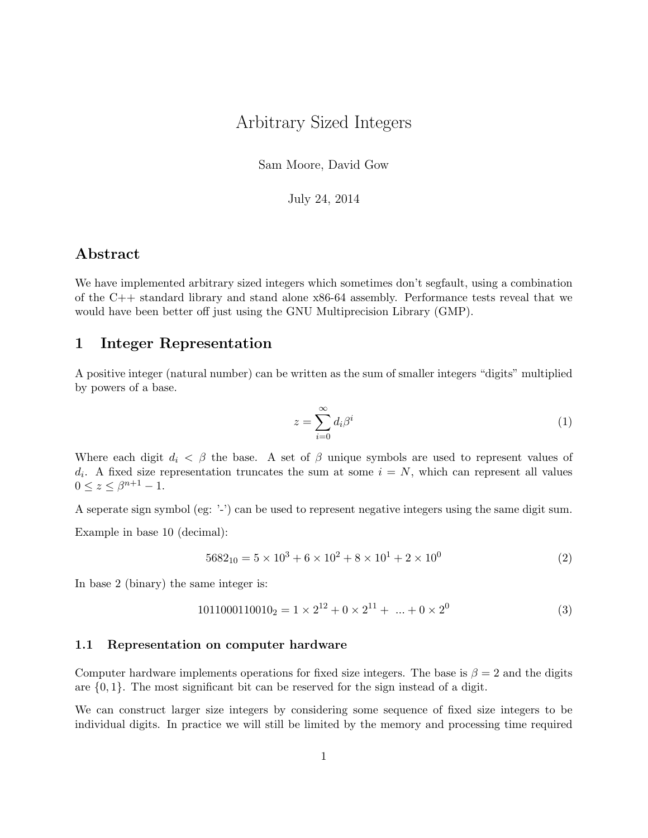# Arbitrary Sized Integers

Sam Moore, David Gow

July 24, 2014

#### <span id="page-0-0"></span>Abstract

We have implemented arbitrary sized integers which sometimes don't segfault, using a combination of the C++ standard library and stand alone x86-64 assembly. Performance tests reveal that we would have been better off just using the GNU Multiprecision Library (GMP).

#### 1 Integer Representation

A positive integer (natural number) can be written as the sum of smaller integers "digits" multiplied by powers of a base.

$$
z = \sum_{i=0}^{\infty} d_i \beta^i \tag{1}
$$

Where each digit  $d_i < \beta$  the base. A set of  $\beta$  unique symbols are used to represent values of  $d_i$ . A fixed size representation truncates the sum at some  $i = N$ , which can represent all values  $0 \le z \le \beta^{n+1} - 1.$ 

A seperate sign symbol (eg: '-') can be used to represent negative integers using the same digit sum.

Example in base 10 (decimal):

$$
5682_{10} = 5 \times 10^3 + 6 \times 10^2 + 8 \times 10^1 + 2 \times 10^0
$$
 (2)

In base 2 (binary) the same integer is:

$$
10110001100102 = 1 \times 212 + 0 \times 211 + ... + 0 \times 20
$$
 (3)

#### 1.1 Representation on computer hardware

Computer hardware implements operations for fixed size integers. The base is  $\beta = 2$  and the digits are  $\{0, 1\}$ . The most significant bit can be reserved for the sign instead of a digit.

We can construct larger size integers by considering some sequence of fixed size integers to be individual digits. In practice we will still be limited by the memory and processing time required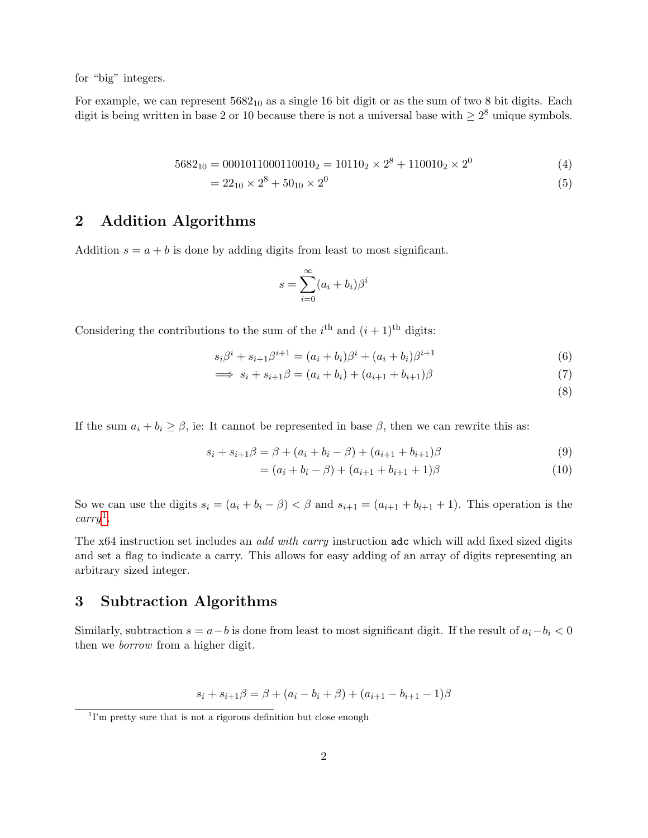for "big" integers.

For example, we can represent  $5682_{10}$  as a single 16 bit digit or as the sum of two 8 bit digits. Each digit is being written in base 2 or 10 because there is not a universal base with  $\geq 2^8$  unique symbols.

$$
5682_{10} = 0001011000110010_2 = 10110_2 \times 2^8 + 110010_2 \times 2^0 \tag{4}
$$

$$
= 22_{10} \times 2^8 + 50_{10} \times 2^0 \tag{5}
$$

#### 2 Addition Algorithms

Addition  $s = a + b$  is done by adding digits from least to most significant.

$$
s = \sum_{i=0}^{\infty} (a_i + b_i)\beta^i
$$

Considering the contributions to the sum of the  $i<sup>th</sup>$  and  $(i + 1)<sup>th</sup>$  digits:

$$
s_i\beta^i + s_{i+1}\beta^{i+1} = (a_i + b_i)\beta^i + (a_i + b_i)\beta^{i+1}
$$
\n(6)

$$
\implies s_i + s_{i+1}\beta = (a_i + b_i) + (a_{i+1} + b_{i+1})\beta \tag{7}
$$

(8)

If the sum  $a_i + b_i \geq \beta$ , ie: It cannot be represented in base  $\beta$ , then we can rewrite this as:

$$
s_i + s_{i+1}\beta = \beta + (a_i + b_i - \beta) + (a_{i+1} + b_{i+1})\beta \tag{9}
$$

$$
= (a_i + b_i - \beta) + (a_{i+1} + b_{i+1} + 1)\beta \tag{10}
$$

So we can use the digits  $s_i = (a_i + b_i - \beta) < \beta$  and  $s_{i+1} = (a_{i+1} + b_{i+1} + 1)$ . This operation is the  $carry<sup>1</sup>$  $carry<sup>1</sup>$  $carry<sup>1</sup>$ .

The x64 instruction set includes an *add with carry* instruction adc which will add fixed sized digits and set a flag to indicate a carry. This allows for easy adding of an array of digits representing an arbitrary sized integer.

#### 3 Subtraction Algorithms

Similarly, subtraction  $s = a - b$  is done from least to most significant digit. If the result of  $a_i - b_i < 0$ then we borrow from a higher digit.

 $s_i + s_{i+1}\beta = \beta + (a_i - b_i + \beta) + (a_{i+1} - b_{i+1} - 1)\beta$ 

<sup>&</sup>lt;sup>1</sup>I'm pretty sure that is not a rigorous definition but close enough